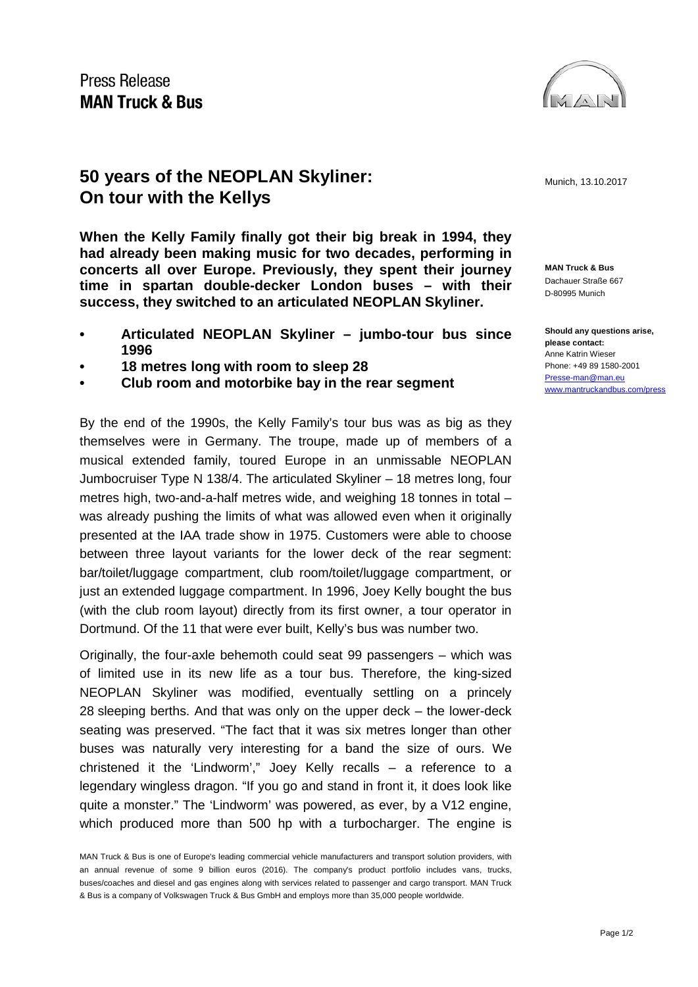

**50 years of the NEOPLAN Skyliner:** Munich, 13.10.2017 **On tour with the Kellys**

**When the Kelly Family finally got their big break in 1994, they had already been making music for two decades, performing in concerts all over Europe. Previously, they spent their journey time in spartan double-decker London buses – with their success, they switched to an articulated NEOPLAN Skyliner.** 

- **• Articulated NEOPLAN Skyliner – jumbo-tour bus since 1996**
- **• 18 metres long with room to sleep 28**
- **• Club room and motorbike bay in the rear segment**

By the end of the 1990s, the Kelly Family's tour bus was as big as they themselves were in Germany. The troupe, made up of members of a musical extended family, toured Europe in an unmissable NEOPLAN Jumbocruiser Type N 138/4. The articulated Skyliner – 18 metres long, four metres high, two-and-a-half metres wide, and weighing 18 tonnes in total – was already pushing the limits of what was allowed even when it originally presented at the IAA trade show in 1975. Customers were able to choose between three layout variants for the lower deck of the rear segment: bar/toilet/luggage compartment, club room/toilet/luggage compartment, or just an extended luggage compartment. In 1996, Joey Kelly bought the bus (with the club room layout) directly from its first owner, a tour operator in Dortmund. Of the 11 that were ever built, Kelly's bus was number two.

Originally, the four-axle behemoth could seat 99 passengers – which was of limited use in its new life as a tour bus. Therefore, the king-sized NEOPLAN Skyliner was modified, eventually settling on a princely 28 sleeping berths. And that was only on the upper deck – the lower-deck seating was preserved. "The fact that it was six metres longer than other buses was naturally very interesting for a band the size of ours. We christened it the 'Lindworm'," Joey Kelly recalls – a reference to a legendary wingless dragon. "If you go and stand in front it, it does look like quite a monster." The 'Lindworm' was powered, as ever, by a V12 engine, which produced more than 500 hp with a turbocharger. The engine is

**MAN Truck & Bus** Dachauer Straße 667 D-80995 Munich

**Should any questions arise, please contact:** Anne Katrin Wieser Phone: +49 89 1580-2001 [Presse-man@man.eu](mailto:Presse-man@man.eu) [www.mantruckandbus.com/press](http://www.mantruckandbus.com/press)

MAN Truck & Bus is one of Europe's leading commercial vehicle manufacturers and transport solution providers, with an annual revenue of some 9 billion euros (2016). The company's product portfolio includes vans, trucks, buses/coaches and diesel and gas engines along with services related to passenger and cargo transport. MAN Truck & Bus is a company of Volkswagen Truck & Bus GmbH and employs more than 35,000 people worldwide.